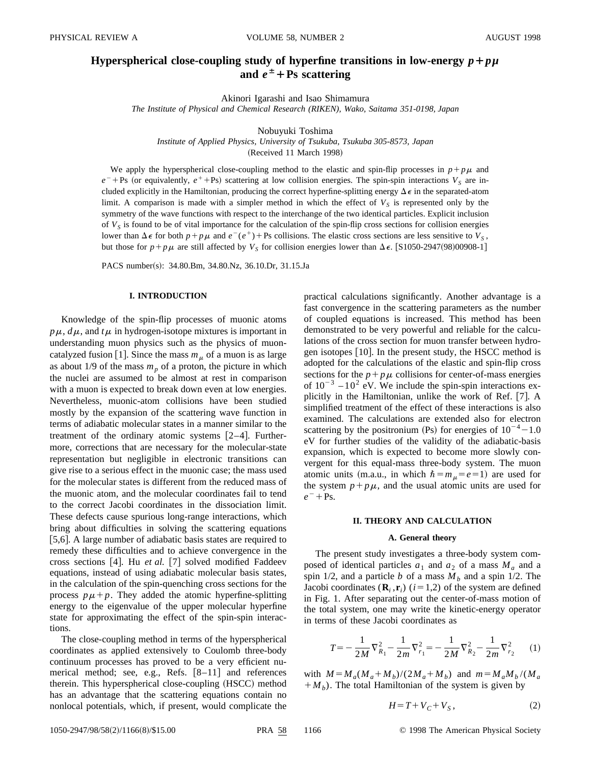# **Hyperspherical close-coupling study of hyperfine transitions in low-energy**  $p + p\mu$ and  $e^{\pm}$  + Ps scattering

Akinori Igarashi and Isao Shimamura

*The Institute of Physical and Chemical Research (RIKEN), Wako, Saitama 351-0198, Japan*

Nobuyuki Toshima

*Institute of Applied Physics, University of Tsukuba, Tsukuba 305-8573, Japan*

(Received 11 March 1998)

We apply the hyperspherical close-coupling method to the elastic and spin-flip processes in  $p+p\mu$  and  $e^{-}$ +Ps (or equivalently,  $e^{+}$ +Ps) scattering at low collision energies. The spin-spin interactions  $V_S$  are included explicitly in the Hamiltonian, producing the correct hyperfine-splitting energy  $\Delta \epsilon$  in the separated-atom limit. A comparison is made with a simpler method in which the effect of  $V<sub>S</sub>$  is represented only by the symmetry of the wave functions with respect to the interchange of the two identical particles. Explicit inclusion of  $V<sub>S</sub>$  is found to be of vital importance for the calculation of the spin-flip cross sections for collision energies lower than  $\Delta \epsilon$  for both  $p + p\mu$  and  $e^-(e^+) + \text{Ps}$  collisions. The elastic cross sections are less sensitive to  $V_s$ , but those for  $p + p\mu$  are still affected by  $V_s$  for collision energies lower than  $\Delta \epsilon$ . [S1050-2947(98)00908-1]

PACS number(s): 34.80.Bm, 34.80.Nz, 36.10.Dr, 31.15.Ja

## **I. INTRODUCTION**

Knowledge of the spin-flip processes of muonic atoms  $p\mu$ ,  $d\mu$ , and  $t\mu$  in hydrogen-isotope mixtures is important in understanding muon physics such as the physics of muoncatalyzed fusion [1]. Since the mass  $m<sub>\mu</sub>$  of a muon is as large as about  $1/9$  of the mass  $m_p$  of a proton, the picture in which the nuclei are assumed to be almost at rest in comparison with a muon is expected to break down even at low energies. Nevertheless, muonic-atom collisions have been studied mostly by the expansion of the scattering wave function in terms of adiabatic molecular states in a manner similar to the treatment of the ordinary atomic systems  $[2-4]$ . Furthermore, corrections that are necessary for the molecular-state representation but negligible in electronic transitions can give rise to a serious effect in the muonic case; the mass used for the molecular states is different from the reduced mass of the muonic atom, and the molecular coordinates fail to tend to the correct Jacobi coordinates in the dissociation limit. These defects cause spurious long-range interactions, which bring about difficulties in solving the scattering equations [5,6]. A large number of adiabatic basis states are required to remedy these difficulties and to achieve convergence in the cross sections [4]. Hu *et al.* [7] solved modified Faddeev equations, instead of using adiabatic molecular basis states, in the calculation of the spin-quenching cross sections for the process  $p\mu+p$ . They added the atomic hyperfine-splitting energy to the eigenvalue of the upper molecular hyperfine state for approximating the effect of the spin-spin interactions.

The close-coupling method in terms of the hyperspherical coordinates as applied extensively to Coulomb three-body continuum processes has proved to be a very efficient numerical method; see, e.g., Refs.  $[8-11]$  and references therein. This hyperspherical close-coupling (HSCC) method has an advantage that the scattering equations contain no nonlocal potentials, which, if present, would complicate the practical calculations significantly. Another advantage is a fast convergence in the scattering parameters as the number of coupled equations is increased. This method has been demonstrated to be very powerful and reliable for the calculations of the cross section for muon transfer between hydrogen isotopes  $[10]$ . In the present study, the HSCC method is adopted for the calculations of the elastic and spin-flip cross sections for the  $p + p\mu$  collisions for center-of-mass energies of  $10^{-3}$  –10<sup>2</sup> eV. We include the spin-spin interactions explicitly in the Hamiltonian, unlike the work of Ref. [7]. A simplified treatment of the effect of these interactions is also examined. The calculations are extended also for electron scattering by the positronium (Ps) for energies of  $10^{-4}$  – 1.0 eV for further studies of the validity of the adiabatic-basis expansion, which is expected to become more slowly convergent for this equal-mass three-body system. The muon atomic units (m.a.u., in which  $\hbar = m_\mu = e = 1$ ) are used for the system  $p + p\mu$ , and the usual atomic units are used for  $e^{-}$  + Ps.

# **II. THEORY AND CALCULATION**

## **A. General theory**

The present study investigates a three-body system composed of identical particles  $a_1$  and  $a_2$  of a mass  $M_a$  and a spin 1/2, and a particle *b* of a mass  $M<sub>b</sub>$  and a spin 1/2. The Jacobi coordinates  $(\mathbf{R}_i, \mathbf{r}_i)$  ( $i=1,2$ ) of the system are defined in Fig. 1. After separating out the center-of-mass motion of the total system, one may write the kinetic-energy operator in terms of these Jacobi coordinates as

$$
T = -\frac{1}{2M}\nabla_{R_1}^2 - \frac{1}{2m}\nabla_{r_1}^2 = -\frac{1}{2M}\nabla_{R_2}^2 - \frac{1}{2m}\nabla_{r_2}^2 \qquad (1)
$$

with  $M = M_a(M_a + M_b)/(2M_a + M_b)$  and  $m = M_aM_b/(M_a)$  $+M_b$ ). The total Hamiltonian of the system is given by

$$
H = T + V_C + V_S, \qquad (2)
$$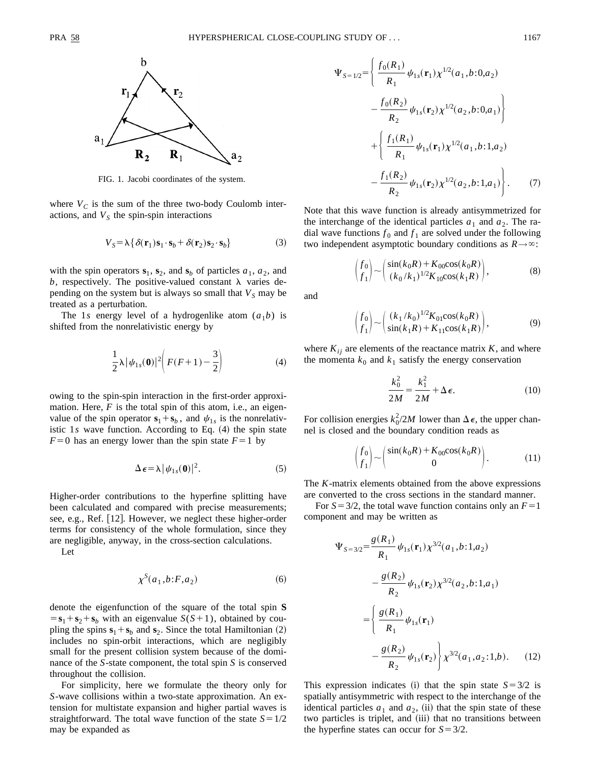

FIG. 1. Jacobi coordinates of the system.

where  $V_C$  is the sum of the three two-body Coulomb interactions, and  $V<sub>S</sub>$  the spin-spin interactions

$$
V_S = \lambda \{ \delta(\mathbf{r}_1)\mathbf{s}_1 \cdot \mathbf{s}_b + \delta(\mathbf{r}_2)\mathbf{s}_2 \cdot \mathbf{s}_b \}
$$
 (3)

with the spin operators  $\mathbf{s}_1$ ,  $\mathbf{s}_2$ , and  $\mathbf{s}_b$  of particles  $a_1$ ,  $a_2$ , and b, respectively. The positive-valued constant  $\lambda$  varies depending on the system but is always so small that  $V<sub>S</sub>$  may be treated as a perturbation.

The 1*s* energy level of a hydrogenlike atom  $(a_1b)$  is shifted from the nonrelativistic energy by

$$
\frac{1}{2}\lambda |\psi_{1s}(\mathbf{0})|^2 \left( F(F+1) - \frac{3}{2} \right) \tag{4}
$$

owing to the spin-spin interaction in the first-order approximation. Here, *F* is the total spin of this atom, i.e., an eigenvalue of the spin operator  $\mathbf{s}_1 + \mathbf{s}_b$ , and  $\psi_{1s}$  is the nonrelativistic  $1s$  wave function. According to Eq.  $(4)$  the spin state  $F=0$  has an energy lower than the spin state  $F=1$  by

$$
\Delta \epsilon = \lambda |\psi_{1s}(0)|^2. \tag{5}
$$

Higher-order contributions to the hyperfine splitting have been calculated and compared with precise measurements; see, e.g., Ref. [12]. However, we neglect these higher-order terms for consistency of the whole formulation, since they are negligible, anyway, in the cross-section calculations.

Let

$$
\chi^S(a_1, b: F, a_2) \tag{6}
$$

denote the eigenfunction of the square of the total spin **S**  $=$ **s**<sub>1</sub> + **s**<sub>2</sub> + **s**<sub>*b*</sub> with an eigenvalue *S*(*S*+1), obtained by coupling the spins  $\mathbf{s}_1 + \mathbf{s}_b$  and  $\mathbf{s}_2$ . Since the total Hamiltonian (2) includes no spin-orbit interactions, which are negligibly small for the present collision system because of the dominance of the *S*-state component, the total spin *S* is conserved throughout the collision.

For simplicity, here we formulate the theory only for *S*-wave collisions within a two-state approximation. An extension for multistate expansion and higher partial waves is straightforward. The total wave function of the state  $S = 1/2$ may be expanded as

$$
\Psi_{S=1/2} = \left\{ \frac{f_0(R_1)}{R_1} \psi_{1s}(\mathbf{r}_1) \chi^{1/2}(a_1, b: 0, a_2) - \frac{f_0(R_2)}{R_2} \psi_{1s}(\mathbf{r}_2) \chi^{1/2}(a_2, b: 0, a_1) \right\} + \left\{ \frac{f_1(R_1)}{R_1} \psi_{1s}(\mathbf{r}_1) \chi^{1/2}(a_1, b: 1, a_2) - \frac{f_1(R_2)}{R_2} \psi_{1s}(\mathbf{r}_2) \chi^{1/2}(a_2, b: 1, a_1) \right\}.
$$
 (7)

Note that this wave function is already antisymmetrized for the interchange of the identical particles  $a_1$  and  $a_2$ . The radial wave functions  $f_0$  and  $f_1$  are solved under the following two independent asymptotic boundary conditions as  $R \rightarrow \infty$ :

$$
\begin{pmatrix} f_0 \\ f_1 \end{pmatrix} \sim \begin{pmatrix} \sin(k_0 R) + K_{00} \cos(k_0 R) \\ (k_0 / k_1)^{1/2} K_{10} \cos(k_1 R) \end{pmatrix},
$$
 (8)

and

$$
\begin{pmatrix} f_0 \\ f_1 \end{pmatrix} \sim \begin{pmatrix} (k_1/k_0)^{1/2} K_{01} \cos(k_0 R) \\ \sin(k_1 R) + K_{11} \cos(k_1 R) \end{pmatrix},
$$
 (9)

where  $K_{ij}$  are elements of the reactance matrix  $K$ , and where the momenta  $k_0$  and  $k_1$  satisfy the energy conservation

$$
\frac{k_0^2}{2M} = \frac{k_1^2}{2M} + \Delta \epsilon.
$$
 (10)

For collision energies  $k_0^2/2M$  lower than  $\Delta \epsilon$ , the upper channel is closed and the boundary condition reads as

$$
\begin{pmatrix} f_0 \\ f_1 \end{pmatrix} \sim \begin{pmatrix} \sin(k_0 R) + K_{00} \cos(k_0 R) \\ 0 \end{pmatrix}.
$$
 (11)

The *K*-matrix elements obtained from the above expressions are converted to the cross sections in the standard manner.

For  $S = 3/2$ , the total wave function contains only an  $F = 1$ component and may be written as

$$
\Psi_{S=3/2} = \frac{g(R_1)}{R_1} \psi_{1s}(\mathbf{r}_1) \chi^{3/2}(a_1, b: 1, a_2)
$$

$$
- \frac{g(R_2)}{R_2} \psi_{1s}(\mathbf{r}_2) \chi^{3/2}(a_2, b: 1, a_1)
$$

$$
= \left\{ \frac{g(R_1)}{R_1} \psi_{1s}(\mathbf{r}_1) - \frac{g(R_2)}{R_2} \psi_{1s}(\mathbf{r}_2) \right\} \chi^{3/2}(a_1, a_2: 1, b). \tag{12}
$$

This expression indicates (i) that the spin state  $S = 3/2$  is spatially antisymmetric with respect to the interchange of the identical particles  $a_1$  and  $a_2$ , (ii) that the spin state of these two particles is triplet, and (iii) that no transitions between the hyperfine states can occur for  $S = 3/2$ .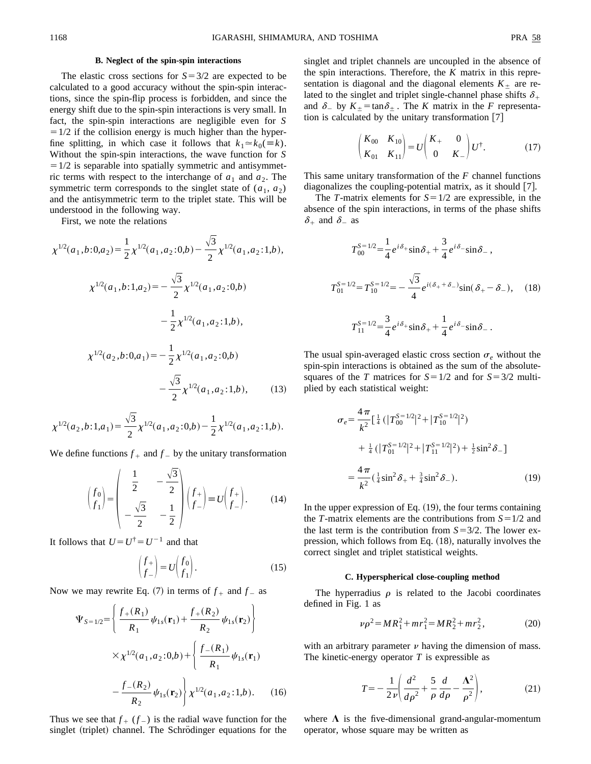## **B. Neglect of the spin-spin interactions**

The elastic cross sections for  $S = 3/2$  are expected to be calculated to a good accuracy without the spin-spin interactions, since the spin-flip process is forbidden, and since the energy shift due to the spin-spin interactions is very small. In fact, the spin-spin interactions are negligible even for *S*  $=1/2$  if the collision energy is much higher than the hyperfine splitting, in which case it follows that  $k_1 \approx k_0(\equiv k)$ . Without the spin-spin interactions, the wave function for *S*  $=1/2$  is separable into spatially symmetric and antisymmetric terms with respect to the interchange of  $a_1$  and  $a_2$ . The symmetric term corresponds to the singlet state of  $(a_1, a_2)$ and the antisymmetric term to the triplet state. This will be understood in the following way.

First, we note the relations

$$
\chi^{1/2}(a_1, b: 0, a_2) = \frac{1}{2} \chi^{1/2}(a_1, a_2: 0, b) - \frac{\sqrt{3}}{2} \chi^{1/2}(a_1, a_2: 1, b),
$$
  

$$
\chi^{1/2}(a_1, b: 1, a_2) = -\frac{\sqrt{3}}{2} \chi^{1/2}(a_1, a_2: 0, b)
$$
  

$$
-\frac{1}{2} \chi^{1/2}(a_1, a_2: 1, b),
$$
  

$$
\chi^{1/2}(a_2, b: 0, a_1) = -\frac{1}{2} \chi^{1/2}(a_1, a_2: 0, b)
$$
  

$$
-\frac{\sqrt{3}}{2} \chi^{1/2}(a_1, a_2: 1, b),
$$
 (13)

$$
\chi^{1/2}(a_2,b:1,a_1) = \frac{\sqrt{3}}{2}\chi^{1/2}(a_1,a_2:0,b) - \frac{1}{2}\chi^{1/2}(a_1,a_2:1,b).
$$

We define functions  $f_+$  and  $f_-$  by the unitary transformation

$$
\begin{pmatrix} f_0 \\ f_1 \end{pmatrix} = \begin{pmatrix} \frac{1}{2} & -\frac{\sqrt{3}}{2} \\ -\frac{\sqrt{3}}{2} & -\frac{1}{2} \end{pmatrix} \begin{pmatrix} f_+ \\ f_- \end{pmatrix} = U \begin{pmatrix} f_+ \\ f_- \end{pmatrix}.
$$
 (14)

It follows that  $U = U^{\dagger} = U^{-1}$  and that

$$
\begin{pmatrix} f_+ \\ f_- \end{pmatrix} = U \begin{pmatrix} f_0 \\ f_1 \end{pmatrix} . \tag{15}
$$

Now we may rewrite Eq. (7) in terms of  $f_+$  and  $f_-$  as

$$
\Psi_{S=1/2} = \left\{ \frac{f_{+}(R_1)}{R_1} \psi_{1s}(\mathbf{r}_1) + \frac{f_{+}(R_2)}{R_2} \psi_{1s}(\mathbf{r}_2) \right\}
$$

$$
\times \chi^{1/2}(a_1, a_2; 0, b) + \left\{ \frac{f_{-}(R_1)}{R_1} \psi_{1s}(\mathbf{r}_1) - \frac{f_{-}(R_2)}{R_2} \psi_{1s}(\mathbf{r}_2) \right\} \chi^{1/2}(a_1, a_2; 1, b). \quad (16)
$$

Thus we see that  $f_+$  ( $f_-$ ) is the radial wave function for the singlet (triplet) channel. The Schrödinger equations for the singlet and triplet channels are uncoupled in the absence of the spin interactions. Therefore, the *K* matrix in this representation is diagonal and the diagonal elements  $K_{+}$  are related to the singlet and triplet single-channel phase shifts  $\delta_+$ and  $\delta$ <sub>-</sub> by  $K_{\pm}$ =tan $\delta_{\pm}$ . The *K* matrix in the *F* representation is calculated by the unitary transformation  $[7]$ 

$$
\begin{pmatrix} K_{00} & K_{10} \\ K_{01} & K_{11} \end{pmatrix} = U \begin{pmatrix} K_+ & 0 \\ 0 & K_- \end{pmatrix} U^{\dagger}.
$$
 (17)

This same unitary transformation of the *F* channel functions diagonalizes the coupling-potential matrix, as it should  $[7]$ .

The *T*-matrix elements for  $S = 1/2$  are expressible, in the absence of the spin interactions, in terms of the phase shifts  $\delta_+$  and  $\delta_-$  as

$$
T_{00}^{S=1/2} = \frac{1}{4} e^{i\delta_+} \sin \delta_+ + \frac{3}{4} e^{i\delta_-} \sin \delta_- ,
$$
  

$$
T_{01}^{S=1/2} = T_{10}^{S=1/2} = -\frac{\sqrt{3}}{4} e^{i(\delta_+ + \delta_-)} \sin(\delta_+ - \delta_-), \quad (18)
$$
  

$$
T_{11}^{S=1/2} = \frac{3}{4} e^{i\delta_+} \sin \delta_+ + \frac{1}{4} e^{i\delta_-} \sin \delta_- .
$$

The usual spin-averaged elastic cross section  $\sigma_e$  without the spin-spin interactions is obtained as the sum of the absolutesquares of the *T* matrices for  $S = 1/2$  and for  $S = 3/2$  multiplied by each statistical weight:

$$
\sigma_e = \frac{4\pi}{k^2} \Big[ \frac{1}{4} \left( |T_{00}^{S=1/2}|^2 + |T_{10}^{S=1/2}|^2 \right) + \frac{1}{4} \left( |T_{01}^{S=1/2}|^2 + |T_{11}^{S=1/2}|^2 \right) + \frac{1}{2} \sin^2 \delta_- \Big]
$$
  
= 
$$
\frac{4\pi}{k^2} \left( \frac{1}{4} \sin^2 \delta_+ + \frac{3}{4} \sin^2 \delta_- \right).
$$
 (19)

In the upper expression of Eq.  $(19)$ , the four terms containing the *T*-matrix elements are the contributions from  $S=1/2$  and the last term is the contribution from  $S=3/2$ . The lower expression, which follows from Eq.  $(18)$ , naturally involves the correct singlet and triplet statistical weights.

#### **C. Hyperspherical close-coupling method**

The hyperradius  $\rho$  is related to the Jacobi coordinates defined in Fig. 1 as

$$
\nu \rho^2 = MR_1^2 + mr_1^2 = MR_2^2 + mr_2^2, \tag{20}
$$

with an arbitrary parameter  $\nu$  having the dimension of mass. The kinetic-energy operator *T* is expressible as

$$
T = -\frac{1}{2\nu} \left( \frac{d^2}{d\rho^2} + \frac{5}{\rho} \frac{d}{d\rho} - \frac{\Lambda^2}{\rho^2} \right),
$$
 (21)

where  $\Lambda$  is the five-dimensional grand-angular-momentum operator, whose square may be written as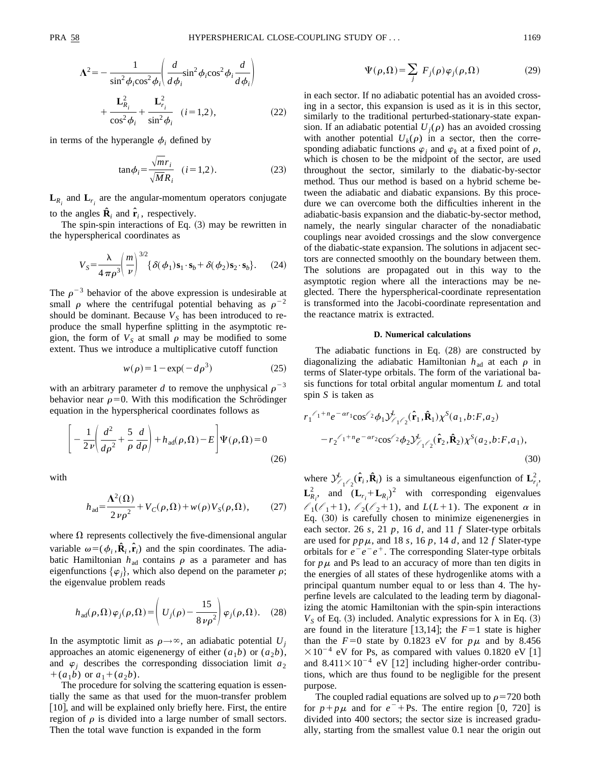$$
\mathbf{\Lambda}^{2} = -\frac{1}{\sin^{2} \phi_{i} \cos^{2} \phi_{i}} \left( \frac{d}{d \phi_{i}} \sin^{2} \phi_{i} \cos^{2} \phi_{i} \frac{d}{d \phi_{i}} \right) + \frac{\mathbf{L}_{R_{i}}^{2}}{\cos^{2} \phi_{i}} + \frac{\mathbf{L}_{r_{i}}^{2}}{\sin^{2} \phi_{i}} \quad (i = 1, 2), \tag{22}
$$

in terms of the hyperangle  $\phi_i$  defined by

$$
\tan \phi_i = \frac{\sqrt{m}r_i}{\sqrt{M}R_i} \quad (i = 1, 2). \tag{23}
$$

 $\mathbf{L}_{R_i}$  and  $\mathbf{L}_{r_i}$  are the angular-momentum operators conjugate to the angles  $\hat{\mathbf{R}}_i$  and  $\hat{\mathbf{r}}_i$ , respectively.

The spin-spin interactions of Eq.  $(3)$  may be rewritten in the hyperspherical coordinates as

$$
V_S = \frac{\lambda}{4 \pi \rho^3} \left(\frac{m}{\nu}\right)^{3/2} \left\{\delta(\phi_1) \mathbf{s}_1 \cdot \mathbf{s}_b + \delta(\phi_2) \mathbf{s}_2 \cdot \mathbf{s}_b\right\}.
$$
 (24)

The  $\rho^{-3}$  behavior of the above expression is undesirable at small  $\rho$  where the centrifugal potential behaving as  $\rho^{-2}$ should be dominant. Because  $V<sub>S</sub>$  has been introduced to reproduce the small hyperfine splitting in the asymptotic region, the form of  $V_s$  at small  $\rho$  may be modified to some extent. Thus we introduce a multiplicative cutoff function

$$
w(\rho) = 1 - \exp(-d\rho^3) \tag{25}
$$

with an arbitrary parameter *d* to remove the unphysical  $\rho^{-3}$ behavior near  $\rho=0$ . With this modification the Schrödinger equation in the hyperspherical coordinates follows as

$$
\left[ -\frac{1}{2\nu} \left( \frac{d^2}{d\rho^2} + \frac{5}{\rho} \frac{d}{d\rho} \right) + h_{\text{ad}}(\rho, \Omega) - E \right] \Psi(\rho, \Omega) = 0
$$
\n(26)

with

$$
h_{\text{ad}} = \frac{\Lambda^2(\Omega)}{2 \nu \rho^2} + V_C(\rho, \Omega) + w(\rho) V_S(\rho, \Omega), \tag{27}
$$

where  $\Omega$  represents collectively the five-dimensional angular variable  $\omega = (\phi_i, \hat{\mathbf{R}}_i, \hat{\mathbf{r}}_i)$  and the spin coordinates. The adiabatic Hamiltonian  $h_{ad}$  contains  $\rho$  as a parameter and has eigenfunctions  $\{\varphi_i\}$ , which also depend on the parameter  $\rho$ ; the eigenvalue problem reads

$$
h_{\text{ad}}(\rho,\Omega)\varphi_j(\rho,\Omega) = \left(U_j(\rho) - \frac{15}{8\,\nu\rho^2}\right)\varphi_j(\rho,\Omega). \quad (28)
$$

In the asymptotic limit as  $\rho \rightarrow \infty$ , an adiabatic potential *U<sub>j</sub>* approaches an atomic eigenenergy of either  $(a_1b)$  or  $(a_2b)$ , and  $\varphi_i$  describes the corresponding dissociation limit  $a_2$  $+(a_1b)$  or  $a_1+(a_2b)$ .

The procedure for solving the scattering equation is essentially the same as that used for the muon-transfer problem [10], and will be explained only briefly here. First, the entire region of  $\rho$  is divided into a large number of small sectors. Then the total wave function is expanded in the form

$$
\Psi(\rho,\Omega) = \sum_{j} F_j(\rho) \varphi_j(\rho,\Omega) \tag{29}
$$

in each sector. If no adiabatic potential has an avoided crossing in a sector, this expansion is used as it is in this sector, similarly to the traditional perturbed-stationary-state expansion. If an adiabatic potential  $U_i(\rho)$  has an avoided crossing with another potential  $U_k(\rho)$  in a sector, then the corresponding adiabatic functions  $\varphi_i$  and  $\varphi_k$  at a fixed point of  $\rho$ , which is chosen to be the midpoint of the sector, are used throughout the sector, similarly to the diabatic-by-sector method. Thus our method is based on a hybrid scheme between the adiabatic and diabatic expansions. By this procedure we can overcome both the difficulties inherent in the adiabatic-basis expansion and the diabatic-by-sector method, namely, the nearly singular character of the nonadiabatic couplings near avoided crossings and the slow convergence of the diabatic-state expansion. The solutions in adjacent sectors are connected smoothly on the boundary between them. The solutions are propagated out in this way to the asymptotic region where all the interactions may be neglected. There the hyperspherical-coordinate representation is transformed into the Jacobi-coordinate representation and the reactance matrix is extracted.

## **D. Numerical calculations**

The adiabatic functions in Eq.  $(28)$  are constructed by diagonalizing the adiabatic Hamiltonian  $h_{ad}$  at each  $\rho$  in terms of Slater-type orbitals. The form of the variational basis functions for total orbital angular momentum *L* and total spin *S* is taken as

$$
r_1^{\ell_1+n}e^{-\alpha r_1} \cos^{\ell_2}\phi_1 \mathcal{Y}_{\ell_1\ell_2}^{\ell}(\hat{\mathbf{r}}_1, \hat{\mathbf{R}}_1) \chi^S(a_1, b; F, a_2)
$$

$$
-r_2^{\ell_1+n}e^{-\alpha r_2} \cos^{\ell_2}\phi_2 \mathcal{Y}_{\ell_1\ell_2}^{\ell}(\hat{\mathbf{r}}_2, \hat{\mathbf{R}}_2) \chi^S(a_2, b; F, a_1),
$$
(30)

where  $\mathcal{Y}_{\ell_1,\ell_2}^L(\hat{\mathbf{r}}_i,\hat{\mathbf{R}}_i)$  is a simultaneous eigenfunction of  $\mathbf{L}_{r_i}^2$ ,  $\mathbf{L}_{R_i}^2$ , and  $(\mathbf{L}_{r_i} + \mathbf{L}_{R_i})^2$  with corresponding eigenvalues  $\ell_1(\ell_1+1)$ ,  $\ell_2(\ell_2+1)$ , and  $L(L+1)$ . The exponent  $\alpha$  in Eq.  $(30)$  is carefully chosen to minimize eigenenergies in each sector. 26 *s*, 21 *p*, 16 *d*, and 11 *f* Slater-type orbitals are used for  $pp\mu$ , and 18 *s*, 16 *p*, 14 *d*, and 12 *f* Slater-type orbitals for  $e^-e^-e^+$ . The corresponding Slater-type orbitals for  $p\mu$  and Ps lead to an accuracy of more than ten digits in the energies of all states of these hydrogenlike atoms with a principal quantum number equal to or less than 4. The hyperfine levels are calculated to the leading term by diagonalizing the atomic Hamiltonian with the spin-spin interactions  $V<sub>S</sub>$  of Eq. (3) included. Analytic expressions for  $\lambda$  in Eq. (3) are found in the literature [13,14]; the  $F=1$  state is higher than the  $F=0$  state by 0.1823 eV for  $p\mu$  and by 8.456  $\times 10^{-4}$  eV for Ps, as compared with values 0.1820 eV [1] and  $8.411\times10^{-4}$  eV [12] including higher-order contributions, which are thus found to be negligible for the present purpose.

The coupled radial equations are solved up to  $\rho$ =720 both for  $p + p\mu$  and for  $e^- + Ps$ . The entire region [0, 720] is divided into 400 sectors; the sector size is increased gradually, starting from the smallest value 0.1 near the origin out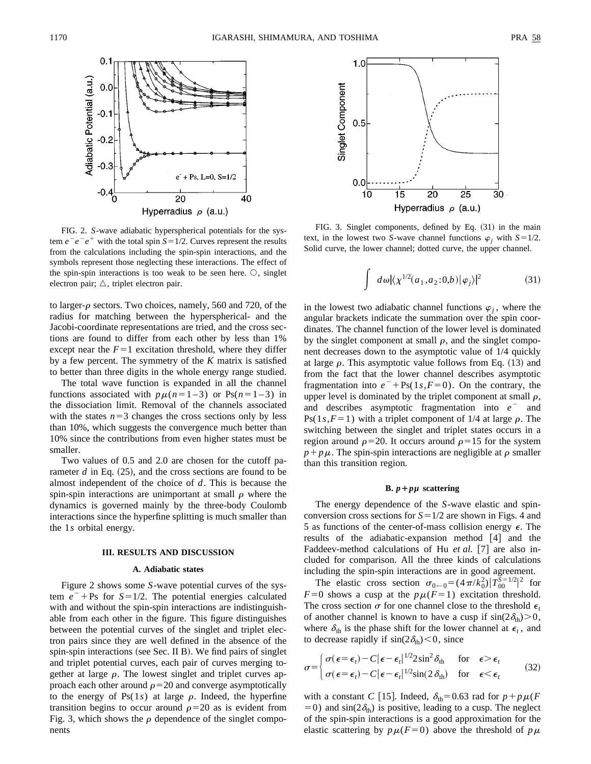

FIG. 2. *S*-wave adiabatic hyperspherical potentials for the system  $e^-e^-e^+$  with the total spin  $S=1/2$ . Curves represent the results from the calculations including the spin-spin interactions, and the symbols represent those neglecting these interactions. The effect of the spin-spin interactions is too weak to be seen here.  $\bigcirc$ , singlet electron pair;  $\triangle$ , triplet electron pair.

to larger- $\rho$  sectors. Two choices, namely, 560 and 720, of the radius for matching between the hyperspherical- and the Jacobi-coordinate representations are tried, and the cross sections are found to differ from each other by less than 1% except near the  $F=1$  excitation threshold, where they differ by a few percent. The symmetry of the *K* matrix is satisfied to better than three digits in the whole energy range studied.

The total wave function is expanded in all the channel functions associated with  $p\mu(n=1-3)$  or Ps( $n=1-3$ ) in the dissociation limit. Removal of the channels associated with the states  $n=3$  changes the cross sections only by less than 10%, which suggests the convergence much better than 10% since the contributions from even higher states must be smaller.

Two values of 0.5 and 2.0 are chosen for the cutoff parameter  $d$  in Eq.  $(25)$ , and the cross sections are found to be almost independent of the choice of *d*. This is because the spin-spin interactions are unimportant at small  $\rho$  where the dynamics is governed mainly by the three-body Coulomb interactions since the hyperfine splitting is much smaller than the 1*s* orbital energy.

#### **III. RESULTS AND DISCUSSION**

#### **A. Adiabatic states**

Figure 2 shows some *S*-wave potential curves of the system  $e^-$ +Ps for *S*=1/2. The potential energies calculated with and without the spin-spin interactions are indistinguishable from each other in the figure. This figure distinguishes between the potential curves of the singlet and triplet electron pairs since they are well defined in the absence of the spin-spin interactions (see Sec. II B). We find pairs of singlet and triplet potential curves, each pair of curves merging together at large  $\rho$ . The lowest singlet and triplet curves approach each other around  $\rho$ =20 and converge asymptotically to the energy of  $Ps(1s)$  at large  $\rho$ . Indeed, the hyperfine transition begins to occur around  $\rho=20$  as is evident from Fig. 3, which shows the  $\rho$  dependence of the singlet components



FIG. 3. Singlet components, defined by Eq.  $(31)$  in the main text, in the lowest two *S*-wave channel functions  $\varphi_i$  with *S*=1/2. Solid curve, the lower channel; dotted curve, the upper channel.

$$
\int d\omega |\langle \chi^{1/2}(a_1,a_2;0,b) | \varphi_j \rangle|^2 \tag{31}
$$

in the lowest two adiabatic channel functions  $\varphi_i$ , where the angular brackets indicate the summation over the spin coordinates. The channel function of the lower level is dominated by the singlet component at small  $\rho$ , and the singlet component decreases down to the asymptotic value of 1/4 quickly at large  $\rho$ . This asymptotic value follows from Eq. (13) and from the fact that the lower channel describes asymptotic fragmentation into  $e^-$  + Ps(1*s*,*F* = 0). On the contrary, the upper level is dominated by the triplet component at small  $\rho$ , and describes asymptotic fragmentation into  $e^-$  and  $Ps(1s, F=1)$  with a triplet component of 1/4 at large  $\rho$ . The switching between the singlet and triplet states occurs in a region around  $\rho$ =20. It occurs around  $\rho$ =15 for the system  $p + p\mu$ . The spin-spin interactions are negligible at  $\rho$  smaller than this transition region.

## **B.**  $p + p\mu$  scattering

The energy dependence of the *S*-wave elastic and spinconversion cross sections for  $S=1/2$  are shown in Figs. 4 and 5 as functions of the center-of-mass collision energy  $\epsilon$ . The results of the adiabatic-expansion method  $[4]$  and the Faddeev-method calculations of Hu *et al.* [7] are also included for comparison. All the three kinds of calculations including the spin-spin interactions are in good agreement.

The elastic cross section  $\sigma_{0 \leftarrow 0} = (4\pi/k_0^2)|T_{00}^{\bar{S}=1/2}|^2$  for  $F=0$  shows a cusp at the  $p\mu(F=1)$  excitation threshold. The cross section  $\sigma$  for one channel close to the threshold  $\epsilon_t$ of another channel is known to have a cusp if  $sin(2\delta_{\text{th}}) > 0$ , where  $\delta_{\text{th}}$  is the phase shift for the lower channel at  $\epsilon_t$ , and to decrease rapidly if  $sin(2\delta_{\text{th}})$  < 0, since

$$
\sigma = \begin{cases}\n\sigma(\epsilon = \epsilon_t) - C |\epsilon - \epsilon_t|^{1/2} 2 \sin^2 \delta_{\text{th}} & \text{for } \epsilon > \epsilon_t \\
\sigma(\epsilon = \epsilon_t) - C |\epsilon - \epsilon_t|^{1/2} \sin(2 \delta_{\text{th}}) & \text{for } \epsilon < \epsilon_t\n\end{cases}\n\tag{32}
$$

with a constant *C* [15]. Indeed,  $\delta_{\text{th}}=0.63$  rad for  $p+p\mu(F)$ =0) and  $sin(2\delta_{th})$  is positive, leading to a cusp. The neglect of the spin-spin interactions is a good approximation for the elastic scattering by  $p\mu(F=0)$  above the threshold of  $p\mu$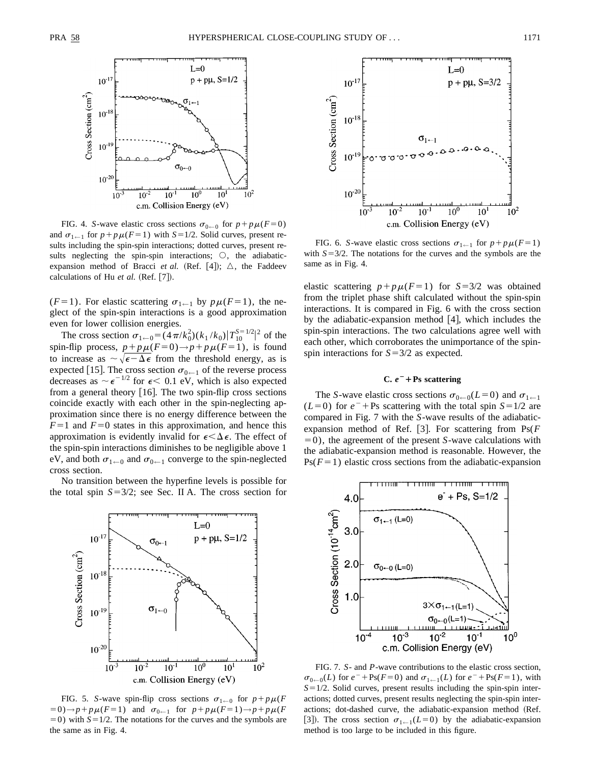

FIG. 4. *S*-wave elastic cross sections  $\sigma_{0\leftarrow 0}$  for  $p + p\mu(F=0)$ and  $\sigma_{1 \leftarrow 1}$  for  $p + p\mu(F=1)$  with  $S=1/2$ . Solid curves, present results including the spin-spin interactions; dotted curves, present results neglecting the spin-spin interactions;  $\circ$ , the adiabaticexpansion method of Bracci *et al.* (Ref. [4]);  $\triangle$ , the Faddeev calculations of Hu  $et$  al. (Ref.  $[7]$ ).

( $F=1$ ). For elastic scattering  $\sigma_{1 \leftarrow 1}$  by  $p\mu(F=1)$ , the neglect of the spin-spin interactions is a good approximation even for lower collision energies.

The cross section  $\sigma_{1 \leftarrow 0} = (4\pi/k_0^2)(k_1 / k_0)[T_{10}^{S=1/2}]^2$  of the spin-flip process,  $p + p\mu(F=0) \rightarrow p + p\mu(F=1)$ , is found to increase as  $\sim \sqrt{\epsilon - \Delta \epsilon}$  from the threshold energy, as is expected [15]. The cross section  $\sigma_{0 \leftarrow 1}$  of the reverse process decreases as  $\sim \epsilon^{-1/2}$  for  $\epsilon$  < 0.1 eV, which is also expected from a general theory  $[16]$ . The two spin-flip cross sections coincide exactly with each other in the spin-neglecting approximation since there is no energy difference between the  $F=1$  and  $F=0$  states in this approximation, and hence this approximation is evidently invalid for  $\epsilon < \Delta \epsilon$ . The effect of the spin-spin interactions diminishes to be negligible above 1 eV, and both  $\sigma_{1 \leftarrow 0}$  and  $\sigma_{0 \leftarrow 1}$  converge to the spin-neglected cross section.

No transition between the hyperfine levels is possible for the total spin  $S=3/2$ ; see Sec. II A. The cross section for



FIG. 5. *S*-wave spin-flip cross sections  $\sigma_{1 \leftarrow 0}$  for  $p + p\mu$ (*F*  $(50) \rightarrow p + p\mu$ ( $F=1$ ) and  $\sigma_{0 \leftarrow 1}$  for  $p + p\mu$ ( $F=1$ ) $\rightarrow p + p\mu$ ( $F=1$ )  $=0$ ) with  $S=1/2$ . The notations for the curves and the symbols are the same as in Fig. 4.



FIG. 6. *S*-wave elastic cross sections  $\sigma_{1 \leftarrow 1}$  for  $p + p\mu(F=1)$ with  $S=3/2$ . The notations for the curves and the symbols are the same as in Fig. 4.

elastic scattering  $p + p\mu$ (*F*=1) for *S*=3/2 was obtained from the triplet phase shift calculated without the spin-spin interactions. It is compared in Fig. 6 with the cross section by the adiabatic-expansion method  $[4]$ , which includes the spin-spin interactions. The two calculations agree well with each other, which corroborates the unimportance of the spinspin interactions for  $S=3/2$  as expected.

## **C.**  $e^-$  + Ps scattering

The *S*-wave elastic cross sections  $\sigma_{0 \leftarrow 0}(L=0)$  and  $\sigma_{1 \leftarrow 1}$  $(L=0)$  for  $e^-$  + Ps scattering with the total spin  $S=1/2$  are compared in Fig. 7 with the *S*-wave results of the adiabaticexpansion method of Ref. [3]. For scattering from  $Ps(F)$  $(50)$ , the agreement of the present *S*-wave calculations with the adiabatic-expansion method is reasonable. However, the  $Ps(F=1)$  elastic cross sections from the adiabatic-expansion



FIG. 7. *S*- and *P*-wave contributions to the elastic cross section,  $\sigma_{0 \leftarrow 0}(L)$  for  $e^{-} + \text{Ps}(F=0)$  and  $\sigma_{1 \leftarrow 1}(L)$  for  $e^{-} + \text{Ps}(F=1)$ , with  $S=1/2$ . Solid curves, present results including the spin-spin interactions; dotted curves, present results neglecting the spin-spin interactions; dot-dashed curve, the adiabatic-expansion method (Ref. [3]). The cross section  $\sigma_{1 \leftarrow 1}(L=0)$  by the adiabatic-expansion method is too large to be included in this figure.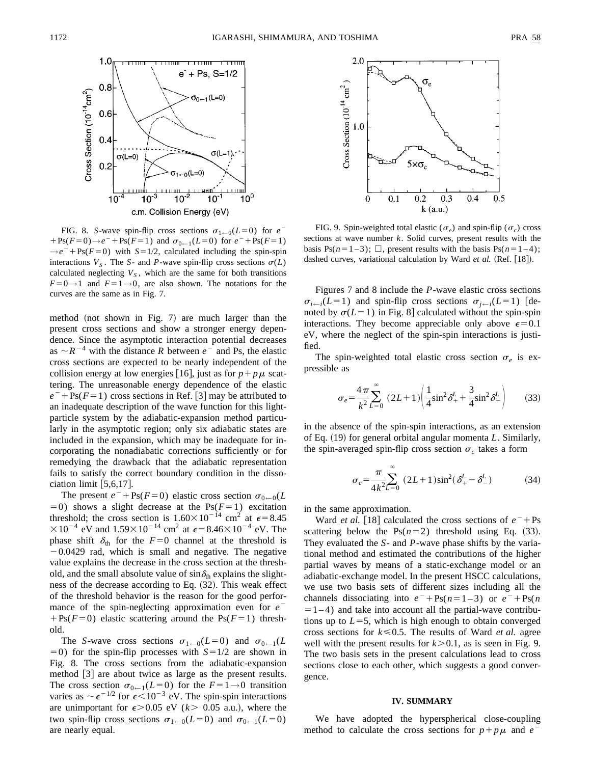

FIG. 8. *S*-wave spin-flip cross sections  $\sigma_{1 \leftarrow 0}(L=0)$  for  $e^{-}$  $+$  Ps( $F=0$ ) $\rightarrow e^-$  + Ps( $F=1$ ) and  $\sigma_{0 \leftarrow 1}(L=0)$  for  $e^-$  + Ps( $F=1$ )  $\rightarrow e^{-} + \text{Ps}(F=0)$  with  $S=1/2$ , calculated including the spin-spin interactions  $V_s$ . The *S*- and *P*-wave spin-flip cross sections  $\sigma(L)$ calculated neglecting  $V<sub>S</sub>$ , which are the same for both transitions  $F=0\rightarrow 1$  and  $F=1\rightarrow 0$ , are also shown. The notations for the curves are the same as in Fig. 7.

method (not shown in Fig. 7) are much larger than the present cross sections and show a stronger energy dependence. Since the asymptotic interaction potential decreases as  $\sim R^{-4}$  with the distance *R* between  $e^{-}$  and Ps, the elastic cross sections are expected to be nearly independent of the collision energy at low energies [16], just as for  $p + p\mu$  scattering. The unreasonable energy dependence of the elastic  $e^{-}$  + Ps(*F* = 1) cross sections in Ref. [3] may be attributed to an inadequate description of the wave function for this lightparticle system by the adiabatic-expansion method particularly in the asymptotic region; only six adiabatic states are included in the expansion, which may be inadequate for incorporating the nonadiabatic corrections sufficiently or for remedying the drawback that the adiabatic representation fails to satisfy the correct boundary condition in the dissociation limit  $\left[5,6,17\right]$ .

The present  $e^{-}$ +Ps(*F*=0) elastic cross section  $\sigma_{0 \leftarrow 0}(L)$  $=0$ ) shows a slight decrease at the Ps( $F=1$ ) excitation threshold; the cross section is  $1.60 \times 10^{-14}$  cm<sup>2</sup> at  $\epsilon$ =8.45  $\times 10^{-4}$  eV and  $1.59\times 10^{-14}$  cm<sup>2</sup> at  $\epsilon$  = 8.46 $\times 10^{-4}$  eV. The phase shift  $\delta_{\text{th}}$  for the *F*=0 channel at the threshold is  $-0.0429$  rad, which is small and negative. The negative value explains the decrease in the cross section at the threshold, and the small absolute value of  $\sin \delta_{\text{th}}$  explains the slightness of the decrease according to Eq.  $(32)$ . This weak effect of the threshold behavior is the reason for the good performance of the spin-neglecting approximation even for  $e^ +Ps(F=0)$  elastic scattering around the Ps( $F=1$ ) threshold.

The *S*-wave cross sections  $\sigma_{1 \leftarrow 0}(L=0)$  and  $\sigma_{0 \leftarrow 1}(L)$  $(5-0)$  for the spin-flip processes with  $S=1/2$  are shown in Fig. 8. The cross sections from the adiabatic-expansion method [3] are about twice as large as the present results. The cross section  $\sigma_{0-1}(L=0)$  for the  $F=1\rightarrow0$  transition varies as  $\sim \epsilon^{-1/2}$  for  $\epsilon < 10^{-3}$  eV. The spin-spin interactions are unimportant for  $\epsilon$ >0.05 eV ( $k$ > 0.05 a.u.), where the two spin-flip cross sections  $\sigma_{1 \leftarrow 0}(L=0)$  and  $\sigma_{0 \leftarrow 1}(L=0)$ are nearly equal.



FIG. 9. Spin-weighted total elastic ( $\sigma_e$ ) and spin-flip ( $\sigma_c$ ) cross sections at wave number *k*. Solid curves, present results with the basis Ps( $n=1-3$ );  $\Box$ , present results with the basis Ps( $n=1-4$ ); dashed curves, variational calculation by Ward et al. (Ref. [18]).

Figures 7 and 8 include the *P*-wave elastic cross sections  $\sigma_{i \leftarrow i}(L=1)$  and spin-flip cross sections  $\sigma_{i \leftarrow i}(L=1)$  [denoted by  $\sigma(L=1)$  in Fig. 8 calculated without the spin-spin interactions. They become appreciable only above  $\epsilon=0.1$ eV, where the neglect of the spin-spin interactions is justified.

The spin-weighted total elastic cross section  $\sigma_e$  is expressible as

$$
\sigma_e = \frac{4\pi}{k^2} \sum_{L=0}^{\infty} (2L+1) \left( \frac{1}{4} \sin^2 \delta_+^L + \frac{3}{4} \sin^2 \delta_-^L \right) \tag{33}
$$

in the absence of the spin-spin interactions, as an extension of Eq. (19) for general orbital angular momenta *L*. Similarly, the spin-averaged spin-flip cross section  $\sigma_c$  takes a form

$$
\sigma_c = \frac{\pi}{4k^2} \sum_{L=0}^{\infty} (2L+1) \sin^2(\delta_+^L - \delta_-^L)
$$
 (34)

in the same approximation.

Ward *et al.* [18] calculated the cross sections of  $e^-$ +Ps scattering below the  $Ps(n=2)$  threshold using Eq. (33). They evaluated the *S*- and *P*-wave phase shifts by the variational method and estimated the contributions of the higher partial waves by means of a static-exchange model or an adiabatic-exchange model. In the present HSCC calculations, we use two basis sets of different sizes including all the channels dissociating into  $e^-$  + Ps( $n=1-3$ ) or  $e^-$  + Ps( $n$  $=1-4$ ) and take into account all the partial-wave contributions up to  $L=5$ , which is high enough to obtain converged cross sections for  $k \leq 0.5$ . The results of Ward *et al.* agree well with the present results for  $k > 0.1$ , as is seen in Fig. 9. The two basis sets in the present calculations lead to cross sections close to each other, which suggests a good convergence.

## **IV. SUMMARY**

We have adopted the hyperspherical close-coupling method to calculate the cross sections for  $p + p\mu$  and *e*